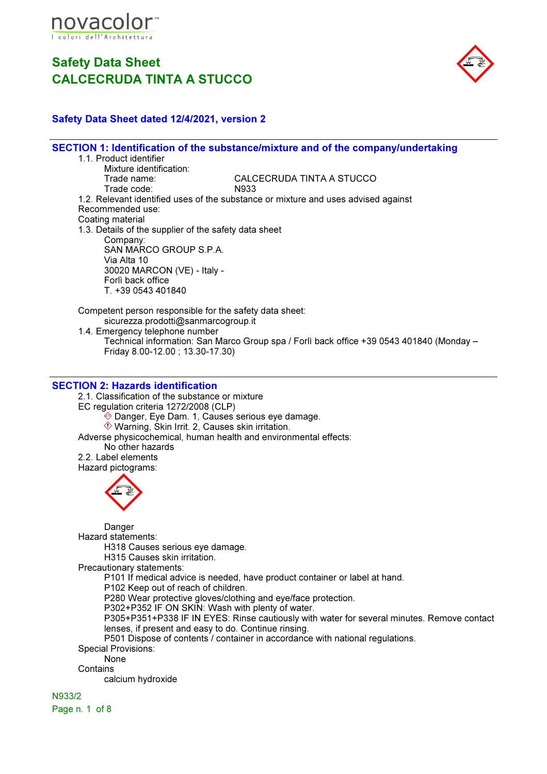



### Safety Data Sheet dated 12/4/2021, version 2

SECTION 1: Identification of the substance/mixture and of the company/undertaking 1.1. Product identifier Mixture identification:<br>Trade name: CALCECRUDA TINTA A STUCCO<br>N933 Trade code: 1.2. Relevant identified uses of the substance or mixture and uses advised against Recommended use: Coating material 1.3. Details of the supplier of the safety data sheet Company: SAN MARCO GROUP S.P.A. Via Alta 10 30020 MARCON (VE) - Italy - Forlì back office T. +39 0543 401840 Competent person responsible for the safety data sheet: sicurezza.prodotti@sanmarcogroup.it 1.4. Emergency telephone number Technical information: San Marco Group spa / Forlì back office +39 0543 401840 (Monday – Friday 8.00-12.00 ; 13.30-17.30) SECTION 2: Hazards identification 2.1. Classification of the substance or mixture EC regulation criteria 1272/2008 (CLP) Danger, Eye Dam. 1, Causes serious eye damage. Warning, Skin Irrit. 2, Causes skin irritation. Adverse physicochemical, human health and environmental effects: No other hazards 2.2. Label elements Hazard pictograms: Danger Hazard statements: H318 Causes serious eye damage. H315 Causes skin irritation. Precautionary statements: P101 If medical advice is needed, have product container or label at hand. P102 Keep out of reach of children. P280 Wear protective gloves/clothing and eye/face protection. P302+P352 IF ON SKIN: Wash with plenty of water. P305+P351+P338 IF IN EYES: Rinse cautiously with water for several minutes. Remove contact lenses, if present and easy to do. Continue rinsing. P501 Dispose of contents / container in accordance with national regulations. Special Provisions: None **Contains** calcium hydroxide N933/2

Page n. 1 of 8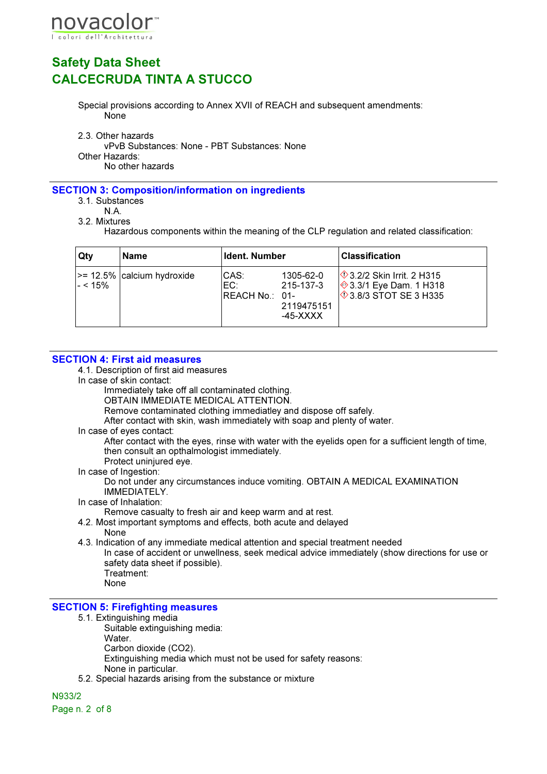

Special provisions according to Annex XVII of REACH and subsequent amendments: None

2.3. Other hazards

vPvB Substances: None - PBT Substances: None Other Hazards:

No other hazards

#### SECTION 3: Composition/information on ingredients

- 3.1. Substances
	- N.A.

3.2. Mixtures

Hazardous components within the meaning of the CLP regulation and related classification:

| Qty             | Name                               | Ident. Number                  |                                                  | <b>Classification</b>                                                                                         |
|-----------------|------------------------------------|--------------------------------|--------------------------------------------------|---------------------------------------------------------------------------------------------------------------|
| $\vert$ - < 15% | $\vert$ >= 12.5% calcium hydroxide | ICAS:<br>EC:<br>REACH No.: 01- | 1305-62-0<br>215-137-3<br>2119475151<br>-45-XXXX | $\Diamond$ 3.2/2 Skin Irrit. 2 H315<br>$\frac{1}{2}$ 3.3/1 Eye Dam. 1 H318<br>$\lozenge$ 3.8/3 STOT SE 3 H335 |

#### SECTION 4: First aid measures

4.1. Description of first aid measures

In case of skin contact:

Immediately take off all contaminated clothing.

OBTAIN IMMEDIATE MEDICAL ATTENTION.

Remove contaminated clothing immediatley and dispose off safely.

After contact with skin, wash immediately with soap and plenty of water.

In case of eyes contact:

After contact with the eyes, rinse with water with the eyelids open for a sufficient length of time, then consult an opthalmologist immediately.

- Protect uninjured eye.
- In case of Ingestion:

Do not under any circumstances induce vomiting. OBTAIN A MEDICAL EXAMINATION IMMEDIATELY.

- In case of Inhalation:
	- Remove casualty to fresh air and keep warm and at rest.
- 4.2. Most important symptoms and effects, both acute and delayed
	- None

4.3. Indication of any immediate medical attention and special treatment needed In case of accident or unwellness, seek medical advice immediately (show directions for use or safety data sheet if possible). Treatment:

None

#### SECTION 5: Firefighting measures

- 5.1. Extinguishing media Suitable extinguishing media: Water. Carbon dioxide (CO2). Extinguishing media which must not be used for safety reasons: None in particular.
- 5.2. Special hazards arising from the substance or mixture

N933/2

Page n. 2 of 8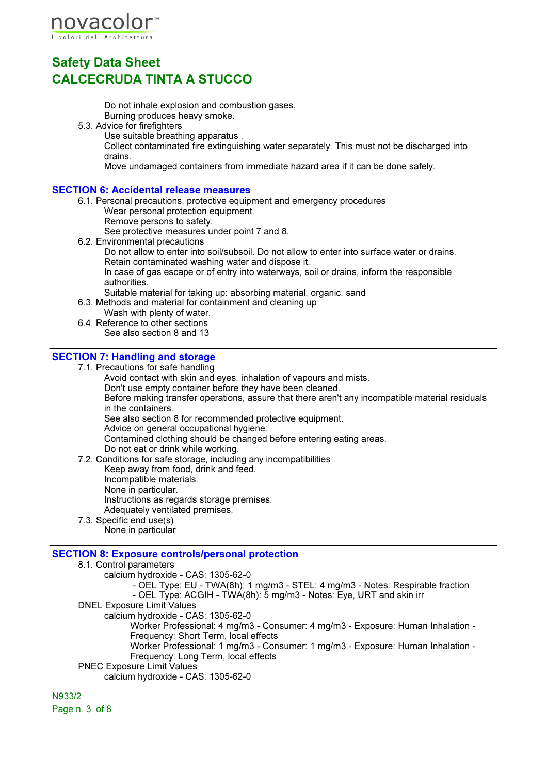

Do not inhale explosion and combustion gases. Burning produces heavy smoke.

- 5.3. Advice for firefighters
	- Use suitable breathing apparatus .

Collect contaminated fire extinguishing water separately. This must not be discharged into drains.

Move undamaged containers from immediate hazard area if it can be done safely.

#### SECTION 6: Accidental release measures

- 6.1. Personal precautions, protective equipment and emergency procedures Wear personal protection equipment.
	- Remove persons to safety.

See protective measures under point 7 and 8.

6.2. Environmental precautions

Do not allow to enter into soil/subsoil. Do not allow to enter into surface water or drains. Retain contaminated washing water and dispose it. In case of gas escape or of entry into waterways, soil or drains, inform the responsible authorities.

Suitable material for taking up: absorbing material, organic, sand

6.3. Methods and material for containment and cleaning up

- Wash with plenty of water. 6.4. Reference to other sections
	- See also section 8 and 13

### SECTION 7: Handling and storage

7.1. Precautions for safe handling

Avoid contact with skin and eyes, inhalation of vapours and mists. Don't use empty container before they have been cleaned. Before making transfer operations, assure that there aren't any incompatible material residuals in the containers. See also section 8 for recommended protective equipment. Advice on general occupational hygiene: Contamined clothing should be changed before entering eating areas. Do not eat or drink while working. 7.2. Conditions for safe storage, including any incompatibilities

- Keep away from food, drink and feed. Incompatible materials: None in particular. Instructions as regards storage premises: Adequately ventilated premises.
- 7.3. Specific end use(s) None in particular

### SECTION 8: Exposure controls/personal protection

- 8.1. Control parameters
	- calcium hydroxide CAS: 1305-62-0
		- OEL Type: EU TWA(8h): 1 mg/m3 STEL: 4 mg/m3 Notes: Respirable fraction

- OEL Type: ACGIH - TWA(8h): 5 mg/m3 - Notes: Eye, URT and skin irr

DNEL Exposure Limit Values

calcium hydroxide - CAS: 1305-62-0

Worker Professional: 4 mg/m3 - Consumer: 4 mg/m3 - Exposure: Human Inhalation - Frequency: Short Term, local effects

Worker Professional: 1 mg/m3 - Consumer: 1 mg/m3 - Exposure: Human Inhalation - Frequency: Long Term, local effects

PNEC Exposure Limit Values

calcium hydroxide - CAS: 1305-62-0

N933/2 Page n. 3 of 8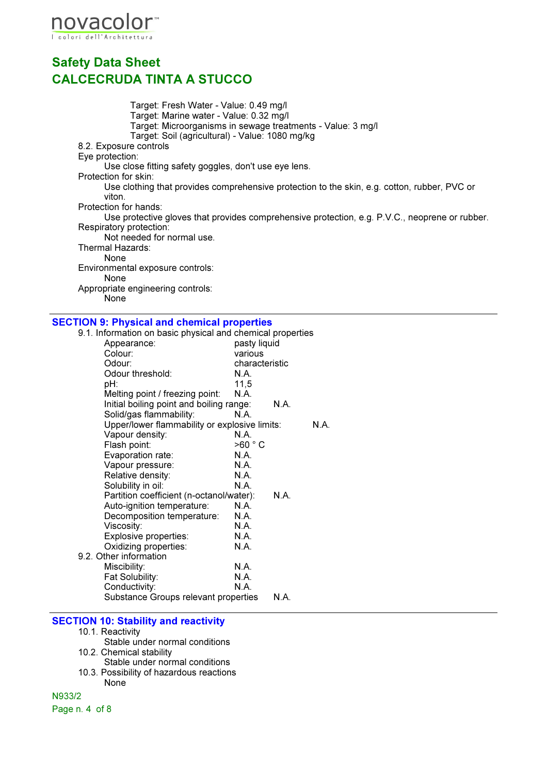

Target: Fresh Water - Value: 0.49 mg/l Target: Marine water - Value: 0.32 mg/l Target: Microorganisms in sewage treatments - Value: 3 mg/l Target: Soil (agricultural) - Value: 1080 mg/kg 8.2. Exposure controls Eye protection: Use close fitting safety goggles, don't use eye lens. Protection for skin: Use clothing that provides comprehensive protection to the skin, e.g. cotton, rubber, PVC or viton. Protection for hands: Use protective gloves that provides comprehensive protection, e.g. P.V.C., neoprene or rubber. Respiratory protection: Not needed for normal use. Thermal Hazards: None Environmental exposure controls: None Appropriate engineering controls: None

#### SECTION 9: Physical and chemical properties

| 9.1. Information on basic physical and chemical properties |                |      |      |
|------------------------------------------------------------|----------------|------|------|
| Appearance:                                                | pasty liquid   |      |      |
| Colour:                                                    | various        |      |      |
| Odour:                                                     | characteristic |      |      |
| Odour threshold:                                           | N.A.           |      |      |
| pH:                                                        | 11,5           |      |      |
| Melting point / freezing point:                            | N.A.           |      |      |
| Initial boiling point and boiling range:                   |                | N.A. |      |
| Solid/gas flammability:                                    | N.A.           |      |      |
| Upper/lower flammability or explosive limits:              |                |      | N.A. |
| Vapour density:                                            | N.A.           |      |      |
| Flash point:                                               | >60 °C         |      |      |
| Evaporation rate:                                          | N.A.           |      |      |
| Vapour pressure:                                           | N.A.           |      |      |
| Relative density:                                          | N.A.           |      |      |
| Solubility in oil:                                         | N.A.           |      |      |
| Partition coefficient (n-octanol/water):                   |                | N.A. |      |
| Auto-ignition temperature:                                 | N.A.           |      |      |
| Decomposition temperature:                                 | N.A.           |      |      |
| Viscosity:                                                 | N.A.           |      |      |
| Explosive properties:                                      | N.A.           |      |      |
| Oxidizing properties:                                      | N.A.           |      |      |
| 9.2. Other information                                     |                |      |      |
| Miscibility:                                               | N.A.           |      |      |
| Fat Solubility:                                            | N.A.           |      |      |
| Conductivity:                                              | N.A.           |      |      |
| Substance Groups relevant properties                       |                | N.A. |      |
|                                                            |                |      |      |

#### SECTION 10: Stability and reactivity

- 10.1. Reactivity
- Stable under normal conditions
- 10.2. Chemical stability
- Stable under normal conditions 10.3. Possibility of hazardous reactions
	- None

N933/2 Page n. 4 of 8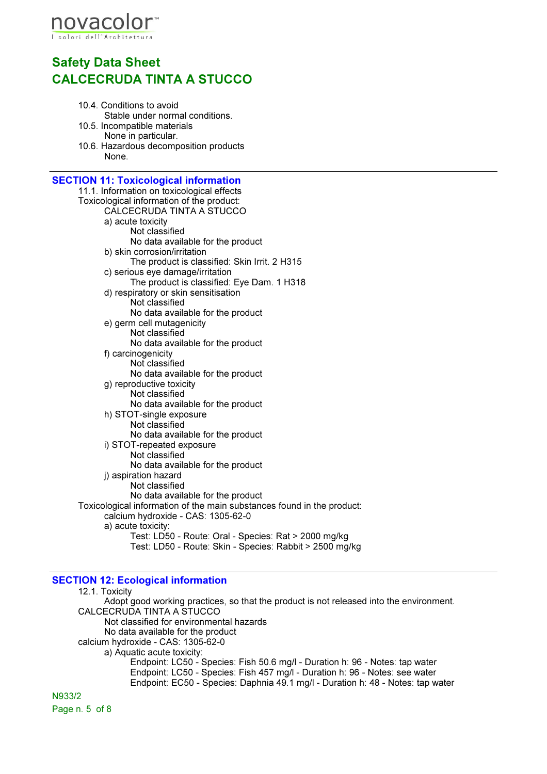

- 10.4. Conditions to avoid Stable under normal conditions.
- 10.5. Incompatible materials None in particular.
- 10.6. Hazardous decomposition products None.

| <b>SECTION 11: Toxicological information</b>                           |
|------------------------------------------------------------------------|
| 11.1. Information on toxicological effects                             |
| Toxicological information of the product:                              |
| CALCECRUDA TINTA A STUCCO                                              |
| a) acute toxicity                                                      |
| Not classified                                                         |
| No data available for the product                                      |
| b) skin corrosion/irritation                                           |
| The product is classified: Skin Irrit. 2 H315                          |
| c) serious eye damage/irritation                                       |
| The product is classified: Eye Dam. 1 H318                             |
| d) respiratory or skin sensitisation                                   |
| Not classified                                                         |
| No data available for the product                                      |
| e) germ cell mutagenicity                                              |
| Not classified                                                         |
| No data available for the product                                      |
| f) carcinogenicity                                                     |
| Not classified                                                         |
| No data available for the product                                      |
| g) reproductive toxicity                                               |
| Not classified                                                         |
| No data available for the product                                      |
| h) STOT-single exposure                                                |
| Not classified                                                         |
| No data available for the product                                      |
| i) STOT-repeated exposure                                              |
| Not classified                                                         |
| No data available for the product                                      |
| j) aspiration hazard                                                   |
| Not classified                                                         |
| No data available for the product                                      |
| Toxicological information of the main substances found in the product: |
| calcium hydroxide - CAS: 1305-62-0                                     |
| a) acute toxicity:                                                     |
| Test: LD50 - Route: Oral - Species: Rat > 2000 mg/kg                   |
| Test: LD50 - Route: Skin - Species: Rabbit > 2500 mg/kg                |
|                                                                        |

### SECTION 12: Ecological information

12.1. Toxicity Adopt good working practices, so that the product is not released into the environment. CALCECRUDA TINTA A STUCCO Not classified for environmental hazards No data available for the product calcium hydroxide - CAS: 1305-62-0 a) Aquatic acute toxicity: Endpoint: LC50 - Species: Fish 50.6 mg/l - Duration h: 96 - Notes: tap water Endpoint: LC50 - Species: Fish 457 mg/l - Duration h: 96 - Notes: see water Endpoint: EC50 - Species: Daphnia 49.1 mg/l - Duration h: 48 - Notes: tap water N933/2 Page n. 5 of 8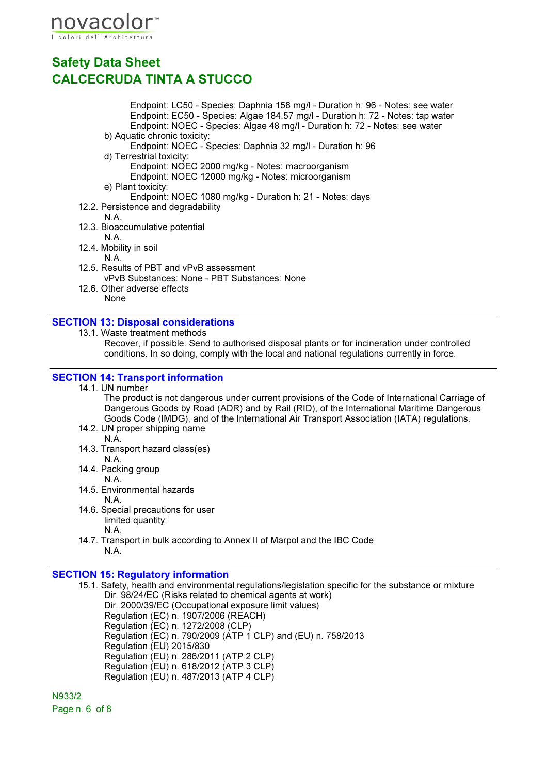

Endpoint: LC50 - Species: Daphnia 158 mg/l - Duration h: 96 - Notes: see water Endpoint: EC50 - Species: Algae 184.57 mg/l - Duration h: 72 - Notes: tap water Endpoint: NOEC - Species: Algae 48 mg/l - Duration h: 72 - Notes: see water

b) Aquatic chronic toxicity:

Endpoint: NOEC - Species: Daphnia 32 mg/l - Duration h: 96

- d) Terrestrial toxicity: Endpoint: NOEC 2000 mg/kg - Notes: macroorganism Endpoint: NOEC 12000 mg/kg - Notes: microorganism
- e) Plant toxicity:
	- Endpoint: NOEC 1080 mg/kg Duration h: 21 Notes: days
- 12.2. Persistence and degradability
	- N.A.
- 12.3. Bioaccumulative potential
- N.A.
- 12.4. Mobility in soil
	- N.A.
- 12.5. Results of PBT and vPvB assessment vPvB Substances: None - PBT Substances: None
- 12.6. Other adverse effects None

#### SECTION 13: Disposal considerations

13.1. Waste treatment methods

Recover, if possible. Send to authorised disposal plants or for incineration under controlled conditions. In so doing, comply with the local and national regulations currently in force.

#### SECTION 14: Transport information

14.1. UN number

The product is not dangerous under current provisions of the Code of International Carriage of Dangerous Goods by Road (ADR) and by Rail (RID), of the International Maritime Dangerous Goods Code (IMDG), and of the International Air Transport Association (IATA) regulations.

- 14.2. UN proper shipping name N.A.
- 14.3. Transport hazard class(es) N.A.
- 14.4. Packing group
- N.A.
- 14.5. Environmental hazards N.A.
- 14.6. Special precautions for user limited quantity:

N.A.

14.7. Transport in bulk according to Annex II of Marpol and the IBC Code N.A.

#### SECTION 15: Regulatory information

15.1. Safety, health and environmental regulations/legislation specific for the substance or mixture Dir. 98/24/EC (Risks related to chemical agents at work)

Dir. 2000/39/EC (Occupational exposure limit values) Regulation (EC) n. 1907/2006 (REACH) Regulation (EC) n. 1272/2008 (CLP) Regulation (EC) n. 790/2009 (ATP 1 CLP) and (EU) n. 758/2013 Regulation (EU) 2015/830 Regulation (EU) n. 286/2011 (ATP 2 CLP) Regulation (EU) n. 618/2012 (ATP 3 CLP) Regulation (EU) n. 487/2013 (ATP 4 CLP)

N933/2 Page n. 6 of 8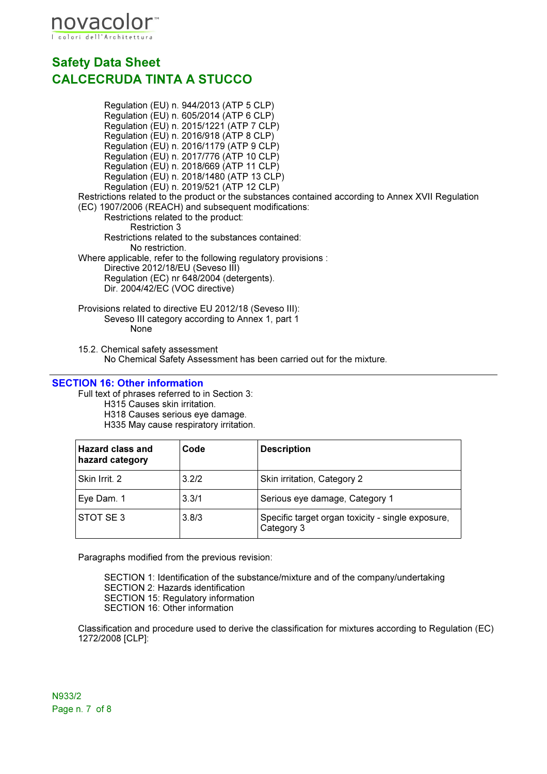

Regulation (EU) n. 944/2013 (ATP 5 CLP) Regulation (EU) n. 605/2014 (ATP 6 CLP) Regulation (EU) n. 2015/1221 (ATP 7 CLP) Regulation (EU) n. 2016/918 (ATP 8 CLP) Regulation (EU) n. 2016/1179 (ATP 9 CLP) Regulation (EU) n. 2017/776 (ATP 10 CLP) Regulation (EU) n. 2018/669 (ATP 11 CLP) Regulation (EU) n. 2018/1480 (ATP 13 CLP) Regulation (EU) n. 2019/521 (ATP 12 CLP) Restrictions related to the product or the substances contained according to Annex XVII Regulation (EC) 1907/2006 (REACH) and subsequent modifications: Restrictions related to the product: Restriction 3 Restrictions related to the substances contained: No restriction. Where applicable, refer to the following regulatory provisions : Directive 2012/18/EU (Seveso III) Regulation (EC) nr 648/2004 (detergents). Dir. 2004/42/EC (VOC directive) Provisions related to directive EU 2012/18 (Seveso III): Seveso III category according to Annex 1, part 1

None

15.2. Chemical safety assessment No Chemical Safety Assessment has been carried out for the mixture.

#### SECTION 16: Other information

Full text of phrases referred to in Section 3: H315 Causes skin irritation. H318 Causes serious eye damage. H335 May cause respiratory irritation.

| <b>Hazard class and</b><br>hazard category | Code  | <b>Description</b>                                              |
|--------------------------------------------|-------|-----------------------------------------------------------------|
| Skin Irrit. 2                              | 3.2/2 | Skin irritation, Category 2                                     |
| Eye Dam. 1                                 | 3.3/1 | Serious eye damage, Category 1                                  |
| STOT SE3                                   | 3.8/3 | Specific target organ toxicity - single exposure,<br>Category 3 |

Paragraphs modified from the previous revision:

SECTION 1: Identification of the substance/mixture and of the company/undertaking SECTION 2: Hazards identification SECTION 15: Regulatory information SECTION 16: Other information

Classification and procedure used to derive the classification for mixtures according to Regulation (EC) 1272/2008 [CLP]:

N933/2 Page n. 7 of 8